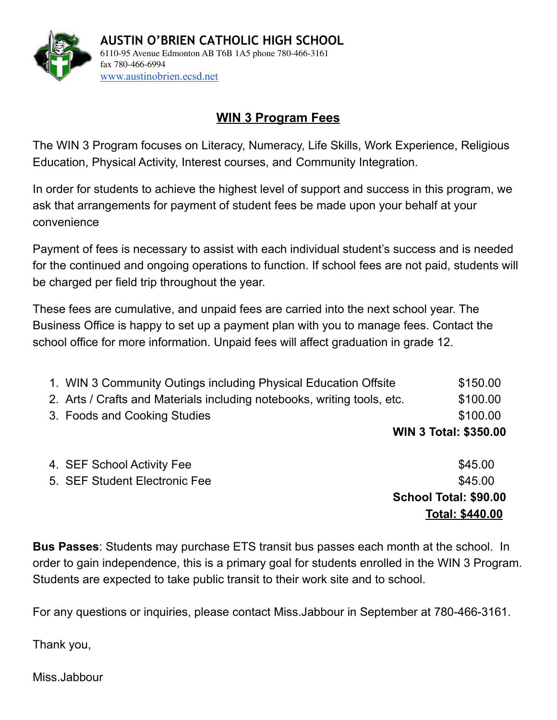

## **WIN 3 Program Fees**

The WIN 3 Program focuses on Literacy, Numeracy, Life Skills, Work Experience, Religious Education, Physical Activity, Interest courses, and Community Integration.

In order for students to achieve the highest level of support and success in this program, we ask that arrangements for payment of student fees be made upon your behalf at your convenience

Payment of fees is necessary to assist with each individual student's success and is needed for the continued and ongoing operations to function. If school fees are not paid, students will be charged per field trip throughout the year.

These fees are cumulative, and unpaid fees are carried into the next school year. The Business Office is happy to set up a payment plan with you to manage fees. Contact the school office for more information. Unpaid fees will affect graduation in grade 12.

| 1. WIN 3 Community Outings including Physical Education Offsite         | \$150.00                     |
|-------------------------------------------------------------------------|------------------------------|
| 2. Arts / Crafts and Materials including notebooks, writing tools, etc. | \$100.00                     |
| 3. Foods and Cooking Studies                                            | \$100.00                     |
|                                                                         | <b>WIN 3 Total: \$350.00</b> |

|                               | <b>Total: \$440.00</b> |
|-------------------------------|------------------------|
|                               | School Total: \$90.00  |
| 5. SEF Student Electronic Fee | \$45.00                |
| 4. SEF School Activity Fee    | \$45.00                |

**Bus Passes**: Students may purchase ETS transit bus passes each month at the school. In order to gain independence, this is a primary goal for students enrolled in the WIN 3 Program. Students are expected to take public transit to their work site and to school.

For any questions or inquiries, please contact Miss.Jabbour in September at 780-466-3161.

Thank you,